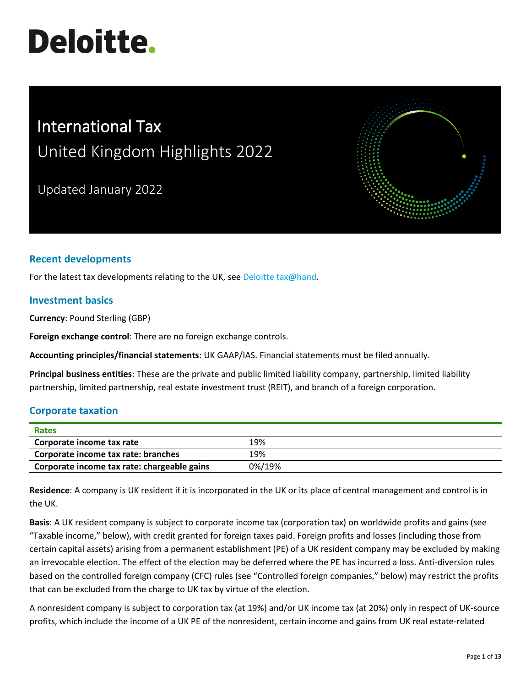# **Deloitte.**

# International Tax United Kingdom Highlights 2022

Updated January 2022



For the latest tax developments relating to the UK, see [Deloitte tax@hand.](https://www.taxathand.com/)

# **Investment basics**

**Currency**: Pound Sterling (GBP)

**Foreign exchange control**: There are no foreign exchange controls.

**Accounting principles/financial statements**: UK GAAP/IAS. Financial statements must be filed annually.

**Principal business entities**: These are the private and public limited liability company, partnership, limited liability partnership, limited partnership, real estate investment trust (REIT), and branch of a foreign corporation.

# **Corporate taxation**

| Rates                                       |        |
|---------------------------------------------|--------|
| Corporate income tax rate                   | 19%    |
| Corporate income tax rate: branches         | 19%    |
| Corporate income tax rate: chargeable gains | 0%/19% |

**Residence**: A company is UK resident if it is incorporated in the UK or its place of central management and control is in the UK.

**Basis**: A UK resident company is subject to corporate income tax (corporation tax) on worldwide profits and gains (see "Taxable income," below), with credit granted for foreign taxes paid. Foreign profits and losses (including those from certain capital assets) arising from a permanent establishment (PE) of a UK resident company may be excluded by making an irrevocable election. The effect of the election may be deferred where the PE has incurred a loss. Anti-diversion rules based on the controlled foreign company (CFC) rules (see "Controlled foreign companies," below) may restrict the profits that can be excluded from the charge to UK tax by virtue of the election.

A nonresident company is subject to corporation tax (at 19%) and/or UK income tax (at 20%) only in respect of UK-source profits, which include the income of a UK PE of the nonresident, certain income and gains from UK real estate-related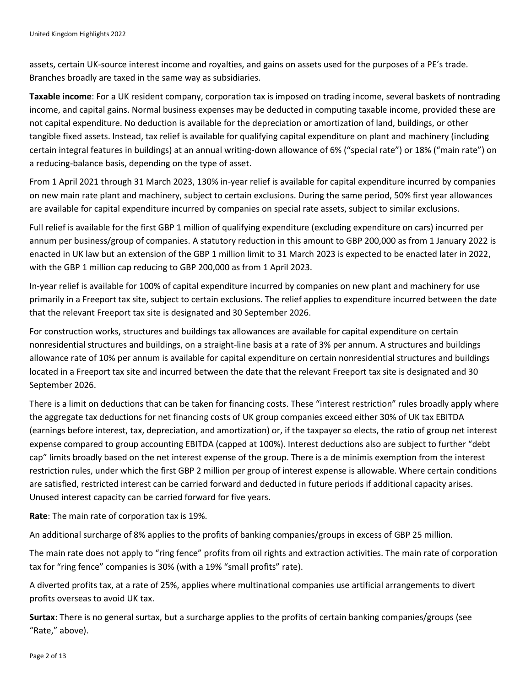assets, certain UK-source interest income and royalties, and gains on assets used for the purposes of a PE's trade. Branches broadly are taxed in the same way as subsidiaries.

**Taxable income**: For a UK resident company, corporation tax is imposed on trading income, several baskets of nontrading income, and capital gains. Normal business expenses may be deducted in computing taxable income, provided these are not capital expenditure. No deduction is available for the depreciation or amortization of land, buildings, or other tangible fixed assets. Instead, tax relief is available for qualifying capital expenditure on plant and machinery (including certain integral features in buildings) at an annual writing-down allowance of 6% ("special rate") or 18% ("main rate") on a reducing-balance basis, depending on the type of asset.

From 1 April 2021 through 31 March 2023, 130% in-year relief is available for capital expenditure incurred by companies on new main rate plant and machinery, subject to certain exclusions. During the same period, 50% first year allowances are available for capital expenditure incurred by companies on special rate assets, subject to similar exclusions.

Full relief is available for the first GBP 1 million of qualifying expenditure (excluding expenditure on cars) incurred per annum per business/group of companies. A statutory reduction in this amount to GBP 200,000 as from 1 January 2022 is enacted in UK law but an extension of the GBP 1 million limit to 31 March 2023 is expected to be enacted later in 2022, with the GBP 1 million cap reducing to GBP 200,000 as from 1 April 2023.

In-year relief is available for 100% of capital expenditure incurred by companies on new plant and machinery for use primarily in a Freeport tax site, subject to certain exclusions. The relief applies to expenditure incurred between the date that the relevant Freeport tax site is designated and 30 September 2026.

For construction works, structures and buildings tax allowances are available for capital expenditure on certain nonresidential structures and buildings, on a straight-line basis at a rate of 3% per annum. A structures and buildings allowance rate of 10% per annum is available for capital expenditure on certain nonresidential structures and buildings located in a Freeport tax site and incurred between the date that the relevant Freeport tax site is designated and 30 September 2026.

There is a limit on deductions that can be taken for financing costs. These "interest restriction" rules broadly apply where the aggregate tax deductions for net financing costs of UK group companies exceed either 30% of UK tax EBITDA (earnings before interest, tax, depreciation, and amortization) or, if the taxpayer so elects, the ratio of group net interest expense compared to group accounting EBITDA (capped at 100%). Interest deductions also are subject to further "debt cap" limits broadly based on the net interest expense of the group. There is a de minimis exemption from the interest restriction rules, under which the first GBP 2 million per group of interest expense is allowable. Where certain conditions are satisfied, restricted interest can be carried forward and deducted in future periods if additional capacity arises. Unused interest capacity can be carried forward for five years.

**Rate**: The main rate of corporation tax is 19%.

An additional surcharge of 8% applies to the profits of banking companies/groups in excess of GBP 25 million.

The main rate does not apply to "ring fence" profits from oil rights and extraction activities. The main rate of corporation tax for "ring fence" companies is 30% (with a 19% "small profits" rate).

A diverted profits tax, at a rate of 25%, applies where multinational companies use artificial arrangements to divert profits overseas to avoid UK tax.

**Surtax**: There is no general surtax, but a surcharge applies to the profits of certain banking companies/groups (see "Rate," above).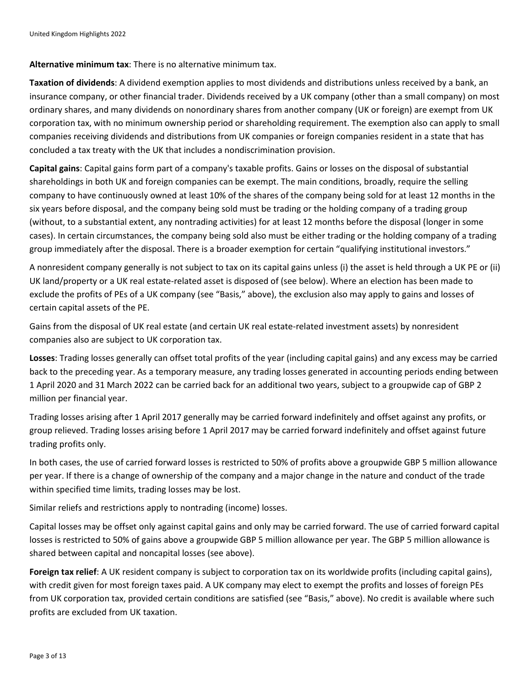#### **Alternative minimum tax**: There is no alternative minimum tax.

**Taxation of dividends**: A dividend exemption applies to most dividends and distributions unless received by a bank, an insurance company, or other financial trader. Dividends received by a UK company (other than a small company) on most ordinary shares, and many dividends on nonordinary shares from another company (UK or foreign) are exempt from UK corporation tax, with no minimum ownership period or shareholding requirement. The exemption also can apply to small companies receiving dividends and distributions from UK companies or foreign companies resident in a state that has concluded a tax treaty with the UK that includes a nondiscrimination provision.

**Capital gains**: Capital gains form part of a company's taxable profits. Gains or losses on the disposal of substantial shareholdings in both UK and foreign companies can be exempt. The main conditions, broadly, require the selling company to have continuously owned at least 10% of the shares of the company being sold for at least 12 months in the six years before disposal, and the company being sold must be trading or the holding company of a trading group (without, to a substantial extent, any nontrading activities) for at least 12 months before the disposal (longer in some cases). In certain circumstances, the company being sold also must be either trading or the holding company of a trading group immediately after the disposal. There is a broader exemption for certain "qualifying institutional investors."

A nonresident company generally is not subject to tax on its capital gains unless (i) the asset is held through a UK PE or (ii) UK land/property or a UK real estate-related asset is disposed of (see below). Where an election has been made to exclude the profits of PEs of a UK company (see "Basis," above), the exclusion also may apply to gains and losses of certain capital assets of the PE.

Gains from the disposal of UK real estate (and certain UK real estate-related investment assets) by nonresident companies also are subject to UK corporation tax.

**Losses**: Trading losses generally can offset total profits of the year (including capital gains) and any excess may be carried back to the preceding year. As a temporary measure, any trading losses generated in accounting periods ending between 1 April 2020 and 31 March 2022 can be carried back for an additional two years, subject to a groupwide cap of GBP 2 million per financial year.

Trading losses arising after 1 April 2017 generally may be carried forward indefinitely and offset against any profits, or group relieved. Trading losses arising before 1 April 2017 may be carried forward indefinitely and offset against future trading profits only.

In both cases, the use of carried forward losses is restricted to 50% of profits above a groupwide GBP 5 million allowance per year. If there is a change of ownership of the company and a major change in the nature and conduct of the trade within specified time limits, trading losses may be lost.

Similar reliefs and restrictions apply to nontrading (income) losses.

Capital losses may be offset only against capital gains and only may be carried forward. The use of carried forward capital losses is restricted to 50% of gains above a groupwide GBP 5 million allowance per year. The GBP 5 million allowance is shared between capital and noncapital losses (see above).

**Foreign tax relief**: A UK resident company is subject to corporation tax on its worldwide profits (including capital gains), with credit given for most foreign taxes paid. A UK company may elect to exempt the profits and losses of foreign PEs from UK corporation tax, provided certain conditions are satisfied (see "Basis," above). No credit is available where such profits are excluded from UK taxation.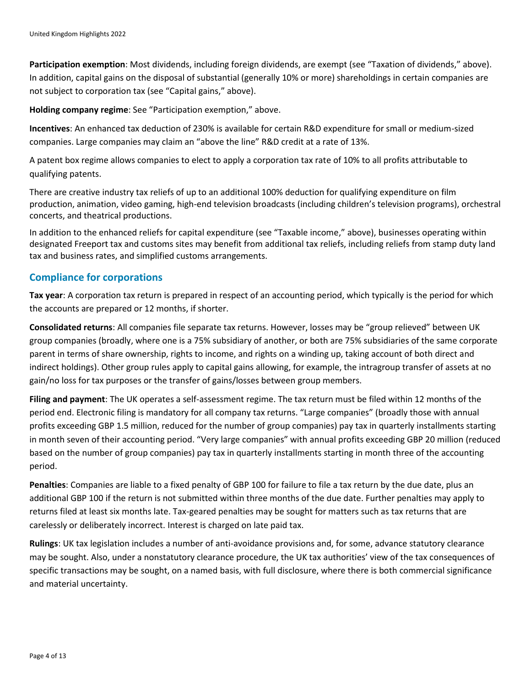**Participation exemption**: Most dividends, including foreign dividends, are exempt (see "Taxation of dividends," above). In addition, capital gains on the disposal of substantial (generally 10% or more) shareholdings in certain companies are not subject to corporation tax (see "Capital gains," above).

**Holding company regime**: See "Participation exemption," above.

**Incentives**: An enhanced tax deduction of 230% is available for certain R&D expenditure for small or medium-sized companies. Large companies may claim an "above the line" R&D credit at a rate of 13%.

A patent box regime allows companies to elect to apply a corporation tax rate of 10% to all profits attributable to qualifying patents.

There are creative industry tax reliefs of up to an additional 100% deduction for qualifying expenditure on film production, animation, video gaming, high-end television broadcasts (including children's television programs), orchestral concerts, and theatrical productions.

In addition to the enhanced reliefs for capital expenditure (see "Taxable income," above), businesses operating within designated Freeport tax and customs sites may benefit from additional tax reliefs, including reliefs from stamp duty land tax and business rates, and simplified customs arrangements.

#### **Compliance for corporations**

**Tax year**: A corporation tax return is prepared in respect of an accounting period, which typically is the period for which the accounts are prepared or 12 months, if shorter.

**Consolidated returns**: All companies file separate tax returns. However, losses may be "group relieved" between UK group companies (broadly, where one is a 75% subsidiary of another, or both are 75% subsidiaries of the same corporate parent in terms of share ownership, rights to income, and rights on a winding up, taking account of both direct and indirect holdings). Other group rules apply to capital gains allowing, for example, the intragroup transfer of assets at no gain/no loss for tax purposes or the transfer of gains/losses between group members.

**Filing and payment**: The UK operates a self-assessment regime. The tax return must be filed within 12 months of the period end. Electronic filing is mandatory for all company tax returns. "Large companies" (broadly those with annual profits exceeding GBP 1.5 million, reduced for the number of group companies) pay tax in quarterly installments starting in month seven of their accounting period. "Very large companies" with annual profits exceeding GBP 20 million (reduced based on the number of group companies) pay tax in quarterly installments starting in month three of the accounting period.

**Penalties**: Companies are liable to a fixed penalty of GBP 100 for failure to file a tax return by the due date, plus an additional GBP 100 if the return is not submitted within three months of the due date. Further penalties may apply to returns filed at least six months late. Tax-geared penalties may be sought for matters such as tax returns that are carelessly or deliberately incorrect. Interest is charged on late paid tax.

**Rulings**: UK tax legislation includes a number of anti-avoidance provisions and, for some, advance statutory clearance may be sought. Also, under a nonstatutory clearance procedure, the UK tax authorities' view of the tax consequences of specific transactions may be sought, on a named basis, with full disclosure, where there is both commercial significance and material uncertainty.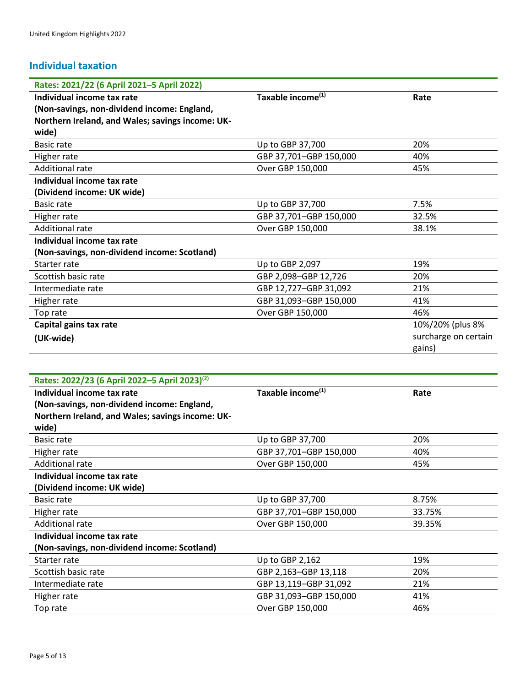# **Individual taxation**

| Rates: 2021/22 (6 April 2021-5 April 2022)                |                               |                      |
|-----------------------------------------------------------|-------------------------------|----------------------|
| Individual income tax rate                                | Taxable income <sup>(1)</sup> | Rate                 |
| (Non-savings, non-dividend income: England,               |                               |                      |
| Northern Ireland, and Wales; savings income: UK-          |                               |                      |
| wide)                                                     |                               |                      |
| Basic rate                                                | Up to GBP 37,700              | 20%                  |
| Higher rate                                               | GBP 37,701-GBP 150,000        | 40%                  |
| <b>Additional rate</b>                                    | Over GBP 150,000              | 45%                  |
| Individual income tax rate                                |                               |                      |
| (Dividend income: UK wide)                                |                               |                      |
| Basic rate                                                | Up to GBP 37,700              | 7.5%                 |
| Higher rate                                               | GBP 37,701-GBP 150,000        | 32.5%                |
| <b>Additional rate</b>                                    | Over GBP 150,000              | 38.1%                |
| Individual income tax rate                                |                               |                      |
| (Non-savings, non-dividend income: Scotland)              |                               |                      |
| Starter rate                                              | Up to GBP 2,097               | 19%                  |
| Scottish basic rate                                       | GBP 2,098-GBP 12,726          | 20%                  |
| Intermediate rate                                         | GBP 12,727-GBP 31,092         | 21%                  |
| Higher rate                                               | GBP 31,093-GBP 150,000        | 41%                  |
| Top rate                                                  | Over GBP 150,000              | 46%                  |
| Capital gains tax rate                                    |                               | 10%/20% (plus 8%     |
| (UK-wide)                                                 |                               | surcharge on certain |
|                                                           |                               | gains)               |
|                                                           |                               |                      |
| Rates: 2022/23 (6 April 2022-5 April 2023) <sup>(2)</sup> |                               |                      |
| Individual income tax rate                                | Taxable income <sup>(1)</sup> | Rate                 |
| (Non-savings, non-dividend income: England,               |                               |                      |
| Northern Ireland, and Wales; savings income: UK-<br>wide) |                               |                      |
|                                                           |                               |                      |

| Basic rate                                   | 20%<br>Up to GBP 37,700          |       |
|----------------------------------------------|----------------------------------|-------|
| Higher rate                                  | GBP 37,701-GBP 150,000<br>40%    |       |
| Additional rate                              | Over GBP 150,000<br>45%          |       |
| Individual income tax rate                   |                                  |       |
| (Dividend income: UK wide)                   |                                  |       |
| Basic rate                                   | Up to GBP 37,700                 | 8.75% |
| Higher rate                                  | GBP 37,701-GBP 150,000<br>33.75% |       |
| Additional rate                              | Over GBP 150,000<br>39.35%       |       |
| Individual income tax rate                   |                                  |       |
| (Non-savings, non-dividend income: Scotland) |                                  |       |
| Starter rate                                 | Up to GBP 2,162                  | 19%   |
| Scottish basic rate                          | GBP 2,163-GBP 13,118             | 20%   |
| Intermediate rate                            | GBP 13,119-GBP 31,092<br>21%     |       |
| Higher rate                                  | GBP 31,093-GBP 150,000           | 41%   |
| Top rate                                     | Over GBP 150,000                 | 46%   |
|                                              |                                  |       |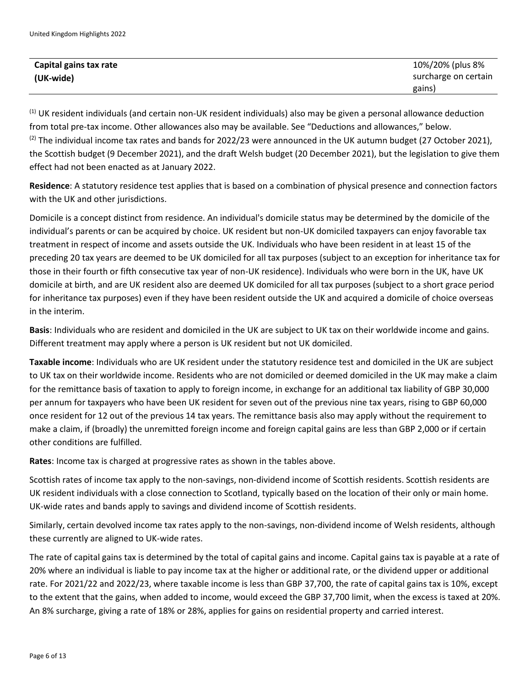| Capital gains tax rate | 10%/20% (plus 8%     |
|------------------------|----------------------|
| (UK-wide)              | surcharge on certain |
|                        | gains)               |

 $<sup>(1)</sup>$  UK resident individuals (and certain non-UK resident individuals) also may be given a personal allowance deduction</sup> from total pre-tax income. Other allowances also may be available. See "Deductions and allowances," below.  $(2)$  The individual income tax rates and bands for 2022/23 were announced in the UK autumn budget (27 October 2021), the Scottish budget (9 December 2021), and the draft Welsh budget (20 December 2021), but the legislation to give them effect had not been enacted as at January 2022.

**Residence**: A statutory residence test applies that is based on a combination of physical presence and connection factors with the UK and other jurisdictions.

Domicile is a concept distinct from residence. An individual's domicile status may be determined by the domicile of the individual's parents or can be acquired by choice. UK resident but non-UK domiciled taxpayers can enjoy favorable tax treatment in respect of income and assets outside the UK. Individuals who have been resident in at least 15 of the preceding 20 tax years are deemed to be UK domiciled for all tax purposes (subject to an exception for inheritance tax for those in their fourth or fifth consecutive tax year of non-UK residence). Individuals who were born in the UK, have UK domicile at birth, and are UK resident also are deemed UK domiciled for all tax purposes (subject to a short grace period for inheritance tax purposes) even if they have been resident outside the UK and acquired a domicile of choice overseas in the interim.

**Basis**: Individuals who are resident and domiciled in the UK are subject to UK tax on their worldwide income and gains. Different treatment may apply where a person is UK resident but not UK domiciled.

**Taxable income**: Individuals who are UK resident under the statutory residence test and domiciled in the UK are subject to UK tax on their worldwide income. Residents who are not domiciled or deemed domiciled in the UK may make a claim for the remittance basis of taxation to apply to foreign income, in exchange for an additional tax liability of GBP 30,000 per annum for taxpayers who have been UK resident for seven out of the previous nine tax years, rising to GBP 60,000 once resident for 12 out of the previous 14 tax years. The remittance basis also may apply without the requirement to make a claim, if (broadly) the unremitted foreign income and foreign capital gains are less than GBP 2,000 or if certain other conditions are fulfilled.

**Rates**: Income tax is charged at progressive rates as shown in the tables above.

Scottish rates of income tax apply to the non-savings, non-dividend income of Scottish residents. Scottish residents are UK resident individuals with a close connection to Scotland, typically based on the location of their only or main home. UK-wide rates and bands apply to savings and dividend income of Scottish residents.

Similarly, certain devolved income tax rates apply to the non-savings, non-dividend income of Welsh residents, although these currently are aligned to UK-wide rates.

The rate of capital gains tax is determined by the total of capital gains and income. Capital gains tax is payable at a rate of 20% where an individual is liable to pay income tax at the higher or additional rate, or the dividend upper or additional rate. For 2021/22 and 2022/23, where taxable income is less than GBP 37,700, the rate of capital gains tax is 10%, except to the extent that the gains, when added to income, would exceed the GBP 37,700 limit, when the excess is taxed at 20%. An 8% surcharge, giving a rate of 18% or 28%, applies for gains on residential property and carried interest.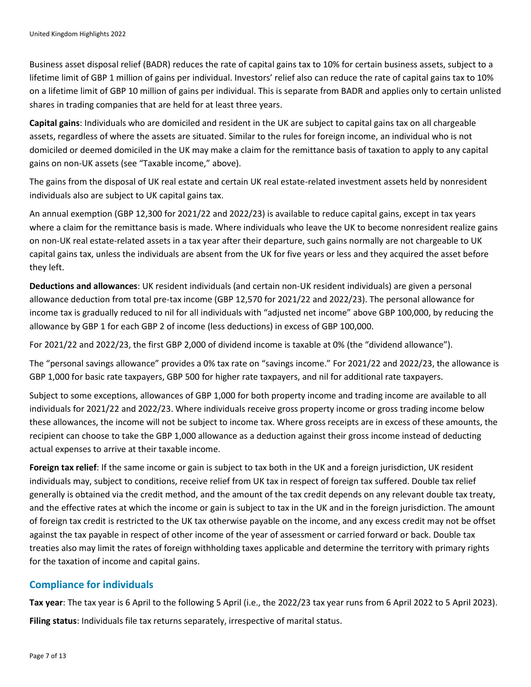Business asset disposal relief (BADR) reduces the rate of capital gains tax to 10% for certain business assets, subject to a lifetime limit of GBP 1 million of gains per individual. Investors' relief also can reduce the rate of capital gains tax to 10% on a lifetime limit of GBP 10 million of gains per individual. This is separate from BADR and applies only to certain unlisted shares in trading companies that are held for at least three years.

**Capital gains**: Individuals who are domiciled and resident in the UK are subject to capital gains tax on all chargeable assets, regardless of where the assets are situated. Similar to the rules for foreign income, an individual who is not domiciled or deemed domiciled in the UK may make a claim for the remittance basis of taxation to apply to any capital gains on non-UK assets (see "Taxable income," above).

The gains from the disposal of UK real estate and certain UK real estate-related investment assets held by nonresident individuals also are subject to UK capital gains tax.

An annual exemption (GBP 12,300 for 2021/22 and 2022/23) is available to reduce capital gains, except in tax years where a claim for the remittance basis is made. Where individuals who leave the UK to become nonresident realize gains on non-UK real estate-related assets in a tax year after their departure, such gains normally are not chargeable to UK capital gains tax, unless the individuals are absent from the UK for five years or less and they acquired the asset before they left.

**Deductions and allowances**: UK resident individuals (and certain non-UK resident individuals) are given a personal allowance deduction from total pre-tax income (GBP 12,570 for 2021/22 and 2022/23). The personal allowance for income tax is gradually reduced to nil for all individuals with "adjusted net income" above GBP 100,000, by reducing the allowance by GBP 1 for each GBP 2 of income (less deductions) in excess of GBP 100,000.

For 2021/22 and 2022/23, the first GBP 2,000 of dividend income is taxable at 0% (the "dividend allowance").

The "personal savings allowance" provides a 0% tax rate on "savings income." For 2021/22 and 2022/23, the allowance is GBP 1,000 for basic rate taxpayers, GBP 500 for higher rate taxpayers, and nil for additional rate taxpayers.

Subject to some exceptions, allowances of GBP 1,000 for both property income and trading income are available to all individuals for 2021/22 and 2022/23. Where individuals receive gross property income or gross trading income below these allowances, the income will not be subject to income tax. Where gross receipts are in excess of these amounts, the recipient can choose to take the GBP 1,000 allowance as a deduction against their gross income instead of deducting actual expenses to arrive at their taxable income.

**Foreign tax relief**: If the same income or gain is subject to tax both in the UK and a foreign jurisdiction, UK resident individuals may, subject to conditions, receive relief from UK tax in respect of foreign tax suffered. Double tax relief generally is obtained via the credit method, and the amount of the tax credit depends on any relevant double tax treaty, and the effective rates at which the income or gain is subject to tax in the UK and in the foreign jurisdiction. The amount of foreign tax credit is restricted to the UK tax otherwise payable on the income, and any excess credit may not be offset against the tax payable in respect of other income of the year of assessment or carried forward or back. Double tax treaties also may limit the rates of foreign withholding taxes applicable and determine the territory with primary rights for the taxation of income and capital gains.

# **Compliance for individuals**

**Tax year**: The tax year is 6 April to the following 5 April (i.e., the 2022/23 tax year runs from 6 April 2022 to 5 April 2023). **Filing status**: Individuals file tax returns separately, irrespective of marital status.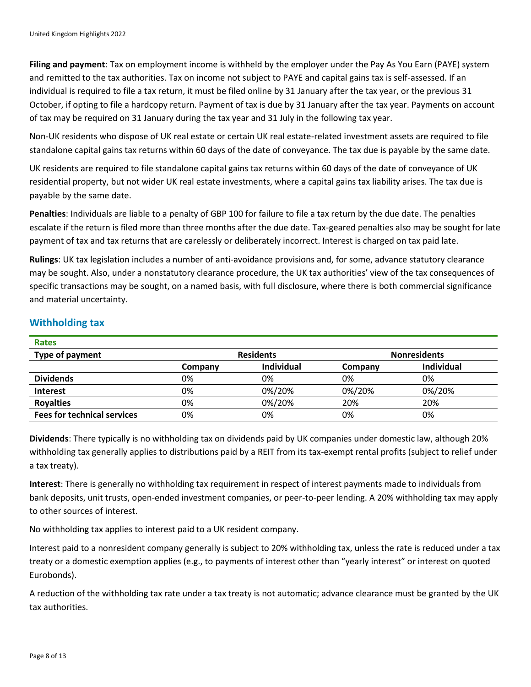**Filing and payment**: Tax on employment income is withheld by the employer under the Pay As You Earn (PAYE) system and remitted to the tax authorities. Tax on income not subject to PAYE and capital gains tax is self-assessed. If an individual is required to file a tax return, it must be filed online by 31 January after the tax year, or the previous 31 October, if opting to file a hardcopy return. Payment of tax is due by 31 January after the tax year. Payments on account of tax may be required on 31 January during the tax year and 31 July in the following tax year.

Non-UK residents who dispose of UK real estate or certain UK real estate-related investment assets are required to file standalone capital gains tax returns within 60 days of the date of conveyance. The tax due is payable by the same date.

UK residents are required to file standalone capital gains tax returns within 60 days of the date of conveyance of UK residential property, but not wider UK real estate investments, where a capital gains tax liability arises. The tax due is payable by the same date.

**Penalties**: Individuals are liable to a penalty of GBP 100 for failure to file a tax return by the due date. The penalties escalate if the return is filed more than three months after the due date. Tax-geared penalties also may be sought for late payment of tax and tax returns that are carelessly or deliberately incorrect. Interest is charged on tax paid late.

**Rulings**: UK tax legislation includes a number of anti-avoidance provisions and, for some, advance statutory clearance may be sought. Also, under a nonstatutory clearance procedure, the UK tax authorities' view of the tax consequences of specific transactions may be sought, on a named basis, with full disclosure, where there is both commercial significance and material uncertainty.

# **Withholding tax**

| <b>Rates</b>                       |                  |            |                     |                   |
|------------------------------------|------------------|------------|---------------------|-------------------|
| Type of payment                    | <b>Residents</b> |            | <b>Nonresidents</b> |                   |
|                                    | Company          | Individual | Company             | <b>Individual</b> |
| <b>Dividends</b>                   | 0%               | 0%         | 0%                  | 0%                |
| <b>Interest</b>                    | 0%               | 0%/20%     | 0%/20%              | 0%/20%            |
| <b>Royalties</b>                   | 0%               | 0%/20%     | 20%                 | 20%               |
| <b>Fees for technical services</b> | 0%               | 0%         | 0%                  | 0%                |

**Dividends**: There typically is no withholding tax on dividends paid by UK companies under domestic law, although 20% withholding tax generally applies to distributions paid by a REIT from its tax-exempt rental profits (subject to relief under a tax treaty).

**Interest**: There is generally no withholding tax requirement in respect of interest payments made to individuals from bank deposits, unit trusts, open-ended investment companies, or peer-to-peer lending. A 20% withholding tax may apply to other sources of interest.

No withholding tax applies to interest paid to a UK resident company.

Interest paid to a nonresident company generally is subject to 20% withholding tax, unless the rate is reduced under a tax treaty or a domestic exemption applies (e.g., to payments of interest other than "yearly interest" or interest on quoted Eurobonds).

A reduction of the withholding tax rate under a tax treaty is not automatic; advance clearance must be granted by the UK tax authorities.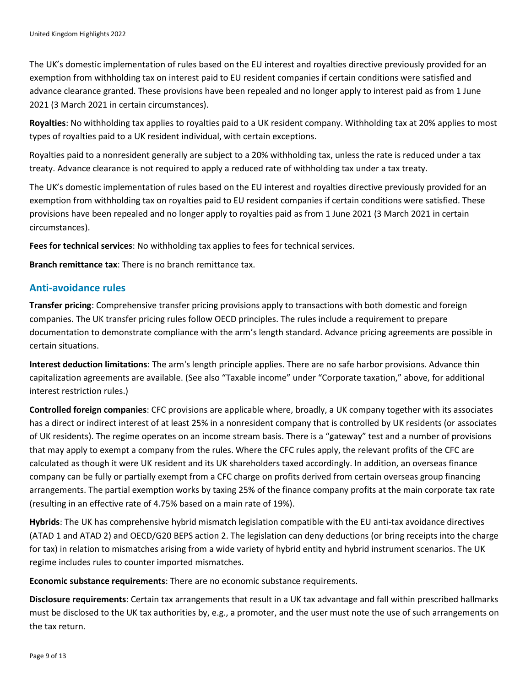The UK's domestic implementation of rules based on the EU interest and royalties directive previously provided for an exemption from withholding tax on interest paid to EU resident companies if certain conditions were satisfied and advance clearance granted. These provisions have been repealed and no longer apply to interest paid as from 1 June 2021 (3 March 2021 in certain circumstances).

**Royalties**: No withholding tax applies to royalties paid to a UK resident company. Withholding tax at 20% applies to most types of royalties paid to a UK resident individual, with certain exceptions.

Royalties paid to a nonresident generally are subject to a 20% withholding tax, unless the rate is reduced under a tax treaty. Advance clearance is not required to apply a reduced rate of withholding tax under a tax treaty.

The UK's domestic implementation of rules based on the EU interest and royalties directive previously provided for an exemption from withholding tax on royalties paid to EU resident companies if certain conditions were satisfied. These provisions have been repealed and no longer apply to royalties paid as from 1 June 2021 (3 March 2021 in certain circumstances).

**Fees for technical services**: No withholding tax applies to fees for technical services.

**Branch remittance tax**: There is no branch remittance tax.

# **Anti-avoidance rules**

**Transfer pricing**: Comprehensive transfer pricing provisions apply to transactions with both domestic and foreign companies. The UK transfer pricing rules follow OECD principles. The rules include a requirement to prepare documentation to demonstrate compliance with the arm's length standard. Advance pricing agreements are possible in certain situations.

**Interest deduction limitations**: The arm's length principle applies. There are no safe harbor provisions. Advance thin capitalization agreements are available. (See also "Taxable income" under "Corporate taxation," above, for additional interest restriction rules.)

**Controlled foreign companies**: CFC provisions are applicable where, broadly, a UK company together with its associates has a direct or indirect interest of at least 25% in a nonresident company that is controlled by UK residents (or associates of UK residents). The regime operates on an income stream basis. There is a "gateway" test and a number of provisions that may apply to exempt a company from the rules. Where the CFC rules apply, the relevant profits of the CFC are calculated as though it were UK resident and its UK shareholders taxed accordingly. In addition, an overseas finance company can be fully or partially exempt from a CFC charge on profits derived from certain overseas group financing arrangements. The partial exemption works by taxing 25% of the finance company profits at the main corporate tax rate (resulting in an effective rate of 4.75% based on a main rate of 19%).

**Hybrids**: The UK has comprehensive hybrid mismatch legislation compatible with the EU anti-tax avoidance directives (ATAD 1 and ATAD 2) and OECD/G20 BEPS action 2. The legislation can deny deductions (or bring receipts into the charge for tax) in relation to mismatches arising from a wide variety of hybrid entity and hybrid instrument scenarios. The UK regime includes rules to counter imported mismatches.

**Economic substance requirements**: There are no economic substance requirements.

**Disclosure requirements**: Certain tax arrangements that result in a UK tax advantage and fall within prescribed hallmarks must be disclosed to the UK tax authorities by, e.g., a promoter, and the user must note the use of such arrangements on the tax return.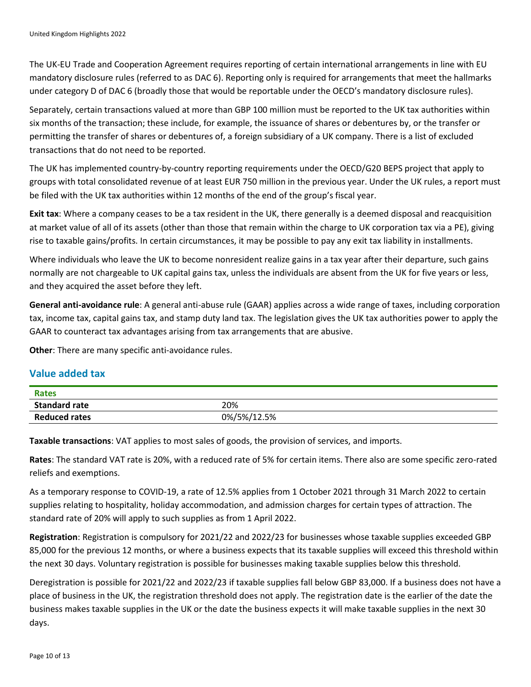The UK-EU Trade and Cooperation Agreement requires reporting of certain international arrangements in line with EU mandatory disclosure rules (referred to as DAC 6). Reporting only is required for arrangements that meet the hallmarks under category D of DAC 6 (broadly those that would be reportable under the OECD's mandatory disclosure rules).

Separately, certain transactions valued at more than GBP 100 million must be reported to the UK tax authorities within six months of the transaction; these include, for example, the issuance of shares or debentures by, or the transfer or permitting the transfer of shares or debentures of, a foreign subsidiary of a UK company. There is a list of excluded transactions that do not need to be reported.

The UK has implemented country-by-country reporting requirements under the OECD/G20 BEPS project that apply to groups with total consolidated revenue of at least EUR 750 million in the previous year. Under the UK rules, a report must be filed with the UK tax authorities within 12 months of the end of the group's fiscal year.

**Exit tax**: Where a company ceases to be a tax resident in the UK, there generally is a deemed disposal and reacquisition at market value of all of its assets (other than those that remain within the charge to UK corporation tax via a PE), giving rise to taxable gains/profits. In certain circumstances, it may be possible to pay any exit tax liability in installments.

Where individuals who leave the UK to become nonresident realize gains in a tax year after their departure, such gains normally are not chargeable to UK capital gains tax, unless the individuals are absent from the UK for five years or less, and they acquired the asset before they left.

**General anti-avoidance rule**: A general anti-abuse rule (GAAR) applies across a wide range of taxes, including corporation tax, income tax, capital gains tax, and stamp duty land tax. The legislation gives the UK tax authorities power to apply the GAAR to counteract tax advantages arising from tax arrangements that are abusive.

**Other**: There are many specific anti-avoidance rules.

# **Value added tax**

| Rates                |             |
|----------------------|-------------|
| <b>Standard rate</b> | 20%         |
| <b>Reduced rates</b> | 0%/5%/12.5% |

**Taxable transactions**: VAT applies to most sales of goods, the provision of services, and imports.

**Rates**: The standard VAT rate is 20%, with a reduced rate of 5% for certain items. There also are some specific zero-rated reliefs and exemptions.

As a temporary response to COVID-19, a rate of 12.5% applies from 1 October 2021 through 31 March 2022 to certain supplies relating to hospitality, holiday accommodation, and admission charges for certain types of attraction. The standard rate of 20% will apply to such supplies as from 1 April 2022.

**Registration**: Registration is compulsory for 2021/22 and 2022/23 for businesses whose taxable supplies exceeded GBP 85,000 for the previous 12 months, or where a business expects that its taxable supplies will exceed this threshold within the next 30 days. Voluntary registration is possible for businesses making taxable supplies below this threshold.

Deregistration is possible for 2021/22 and 2022/23 if taxable supplies fall below GBP 83,000. If a business does not have a place of business in the UK, the registration threshold does not apply. The registration date is the earlier of the date the business makes taxable supplies in the UK or the date the business expects it will make taxable supplies in the next 30 days.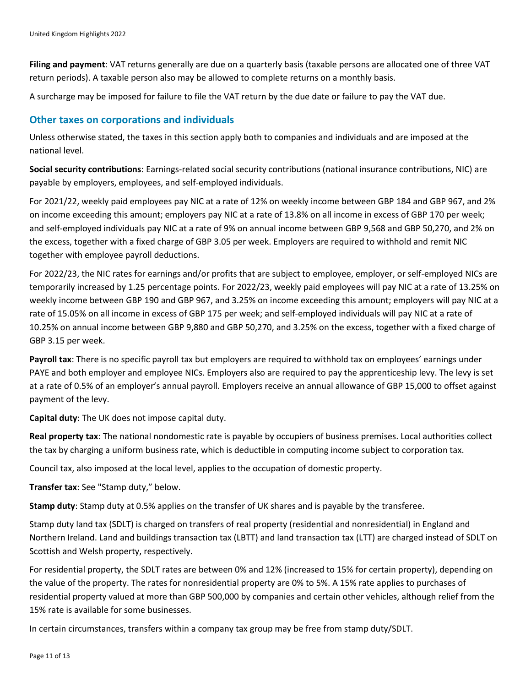**Filing and payment**: VAT returns generally are due on a quarterly basis (taxable persons are allocated one of three VAT return periods). A taxable person also may be allowed to complete returns on a monthly basis.

A surcharge may be imposed for failure to file the VAT return by the due date or failure to pay the VAT due.

#### **Other taxes on corporations and individuals**

Unless otherwise stated, the taxes in this section apply both to companies and individuals and are imposed at the national level.

**Social security contributions**: Earnings-related social security contributions (national insurance contributions, NIC) are payable by employers, employees, and self-employed individuals.

For 2021/22, weekly paid employees pay NIC at a rate of 12% on weekly income between GBP 184 and GBP 967, and 2% on income exceeding this amount; employers pay NIC at a rate of 13.8% on all income in excess of GBP 170 per week; and self-employed individuals pay NIC at a rate of 9% on annual income between GBP 9,568 and GBP 50,270, and 2% on the excess, together with a fixed charge of GBP 3.05 per week. Employers are required to withhold and remit NIC together with employee payroll deductions.

For 2022/23, the NIC rates for earnings and/or profits that are subject to employee, employer, or self-employed NICs are temporarily increased by 1.25 percentage points. For 2022/23, weekly paid employees will pay NIC at a rate of 13.25% on weekly income between GBP 190 and GBP 967, and 3.25% on income exceeding this amount; employers will pay NIC at a rate of 15.05% on all income in excess of GBP 175 per week; and self-employed individuals will pay NIC at a rate of 10.25% on annual income between GBP 9,880 and GBP 50,270, and 3.25% on the excess, together with a fixed charge of GBP 3.15 per week.

**Payroll tax**: There is no specific payroll tax but employers are required to withhold tax on employees' earnings under PAYE and both employer and employee NICs. Employers also are required to pay the apprenticeship levy. The levy is set at a rate of 0.5% of an employer's annual payroll. Employers receive an annual allowance of GBP 15,000 to offset against payment of the levy.

**Capital duty**: The UK does not impose capital duty.

**Real property tax**: The national nondomestic rate is payable by occupiers of business premises. Local authorities collect the tax by charging a uniform business rate, which is deductible in computing income subject to corporation tax.

Council tax, also imposed at the local level, applies to the occupation of domestic property.

**Transfer tax**: See "Stamp duty," below.

**Stamp duty**: Stamp duty at 0.5% applies on the transfer of UK shares and is payable by the transferee.

Stamp duty land tax (SDLT) is charged on transfers of real property (residential and nonresidential) in England and Northern Ireland. Land and buildings transaction tax (LBTT) and land transaction tax (LTT) are charged instead of SDLT on Scottish and Welsh property, respectively.

For residential property, the SDLT rates are between 0% and 12% (increased to 15% for certain property), depending on the value of the property. The rates for nonresidential property are 0% to 5%. A 15% rate applies to purchases of residential property valued at more than GBP 500,000 by companies and certain other vehicles, although relief from the 15% rate is available for some businesses.

In certain circumstances, transfers within a company tax group may be free from stamp duty/SDLT.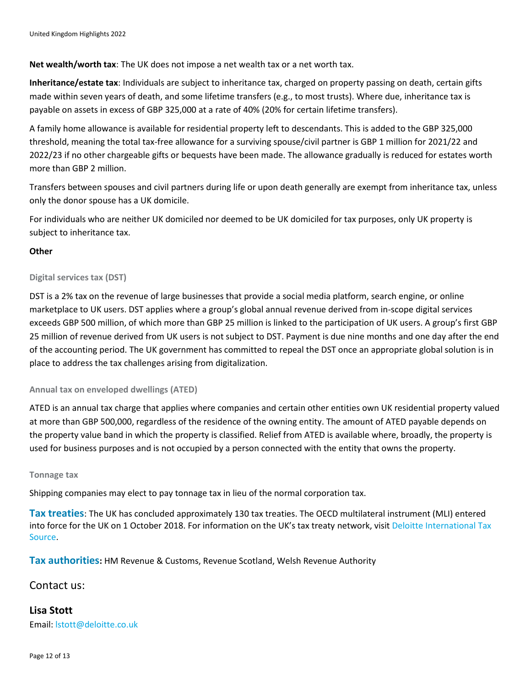#### **Net wealth/worth tax**: The UK does not impose a net wealth tax or a net worth tax.

**Inheritance/estate tax**: Individuals are subject to inheritance tax, charged on property passing on death, certain gifts made within seven years of death, and some lifetime transfers (e.g., to most trusts). Where due, inheritance tax is payable on assets in excess of GBP 325,000 at a rate of 40% (20% for certain lifetime transfers).

A family home allowance is available for residential property left to descendants. This is added to the GBP 325,000 threshold, meaning the total tax-free allowance for a surviving spouse/civil partner is GBP 1 million for 2021/22 and 2022/23 if no other chargeable gifts or bequests have been made. The allowance gradually is reduced for estates worth more than GBP 2 million.

Transfers between spouses and civil partners during life or upon death generally are exempt from inheritance tax, unless only the donor spouse has a UK domicile.

For individuals who are neither UK domiciled nor deemed to be UK domiciled for tax purposes, only UK property is subject to inheritance tax.

#### **Other**

#### **Digital services tax (DST)**

DST is a 2% tax on the revenue of large businesses that provide a social media platform, search engine, or online marketplace to UK users. DST applies where a group's global annual revenue derived from in-scope digital services exceeds GBP 500 million, of which more than GBP 25 million is linked to the participation of UK users. A group's first GBP 25 million of revenue derived from UK users is not subject to DST. Payment is due nine months and one day after the end of the accounting period. The UK government has committed to repeal the DST once an appropriate global solution is in place to address the tax challenges arising from digitalization.

#### **Annual tax on enveloped dwellings (ATED)**

ATED is an annual tax charge that applies where companies and certain other entities own UK residential property valued at more than GBP 500,000, regardless of the residence of the owning entity. The amount of ATED payable depends on the property value band in which the property is classified. Relief from ATED is available where, broadly, the property is used for business purposes and is not occupied by a person connected with the entity that owns the property.

#### **Tonnage tax**

Shipping companies may elect to pay tonnage tax in lieu of the normal corporation tax.

**Tax treaties**: The UK has concluded approximately 130 tax treaties. The OECD multilateral instrument (MLI) entered into force for the UK on 1 October 2018. For information on the UK's tax treaty network, visit [Deloitte International Tax](https://dits.deloitte.com/#Jurisdiction/51)  [Source.](https://dits.deloitte.com/#Jurisdiction/51)

**Tax authorities:** HM Revenue & Customs, Revenue Scotland, Welsh Revenue Authority

#### Contact us:

**Lisa Stott** Email: [lstott@deloitte.co.uk](mailto:lstott@deloitte.co.uk)